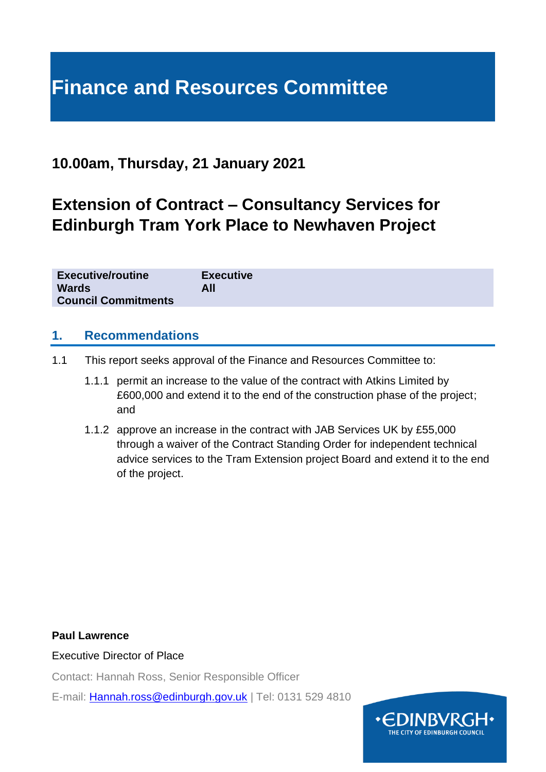# **Finance and Resources Committee**

## **10.00am, Thursday, 21 January 2021**

## **Extension of Contract – Consultancy Services for Edinburgh Tram York Place to Newhaven Project**

| <b>Executive/routine</b>   | <b>Executive</b> |
|----------------------------|------------------|
| <b>Wards</b>               | All              |
| <b>Council Commitments</b> |                  |

#### **1. Recommendations**

- 1.1 This report seeks approval of the Finance and Resources Committee to:
	- 1.1.1 permit an increase to the value of the contract with Atkins Limited by £600,000 and extend it to the end of the construction phase of the project; and
	- 1.1.2 approve an increase in the contract with JAB Services UK by £55,000 through a waiver of the Contract Standing Order for independent technical advice services to the Tram Extension project Board and extend it to the end of the project.

#### **Paul Lawrence**

Executive Director of Place

Contact: Hannah Ross, Senior Responsible Officer

E-mail: [Hannah.ross@edinburgh.gov.uk](mailto:Hannah.ross@edinburgh.gov.uk) | Tel: 0131 529 4810

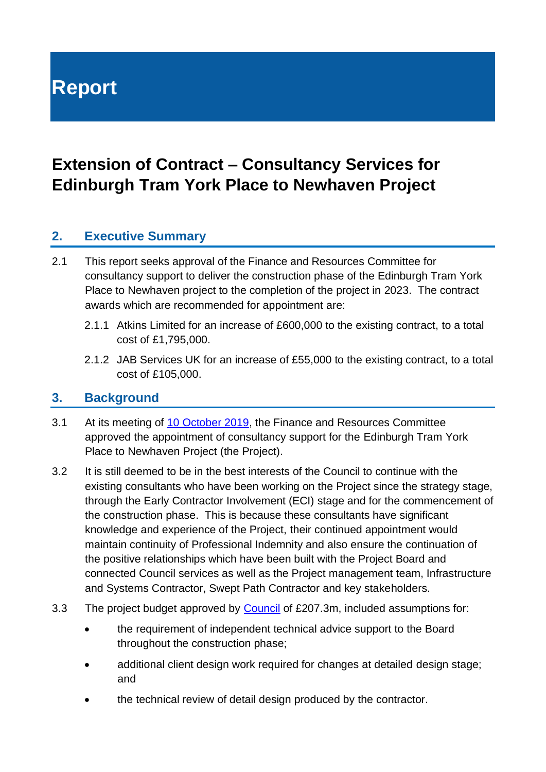**Report**

## **Extension of Contract – Consultancy Services for Edinburgh Tram York Place to Newhaven Project**

## **2. Executive Summary**

- 2.1 This report seeks approval of the Finance and Resources Committee for consultancy support to deliver the construction phase of the Edinburgh Tram York Place to Newhaven project to the completion of the project in 2023. The contract awards which are recommended for appointment are:
	- 2.1.1 Atkins Limited for an increase of £600,000 to the existing contract, to a total cost of £1,795,000.
	- 2.1.2 JAB Services UK for an increase of £55,000 to the existing contract, to a total cost of £105,000.

#### **3. Background**

- 3.1 At its meeting of [10 October 2019,](https://democracy.edinburgh.gov.uk/ieListDocuments.aspx?CId=140&MId=346&Ver=4) the Finance and Resources Committee approved the appointment of consultancy support for the Edinburgh Tram York Place to Newhaven Project (the Project).
- 3.2 It is still deemed to be in the best interests of the Council to continue with the existing consultants who have been working on the Project since the strategy stage, through the Early Contractor Involvement (ECI) stage and for the commencement of the construction phase. This is because these consultants have significant knowledge and experience of the Project, their continued appointment would maintain continuity of Professional Indemnity and also ensure the continuation of the positive relationships which have been built with the Project Board and connected Council services as well as the Project management team, Infrastructure and Systems Contractor, Swept Path Contractor and key stakeholders.
- 3.3 The project budget approved by [Council](https://democracy.edinburgh.gov.uk/CeListDocuments.aspx?CommitteeId=150&MeetingId=1024&DF=14%2f03%2f2019&Ver=2) of £207.3m, included assumptions for:
	- the requirement of independent technical advice support to the Board throughout the construction phase;
	- additional client design work required for changes at detailed design stage; and
	- the technical review of detail design produced by the contractor.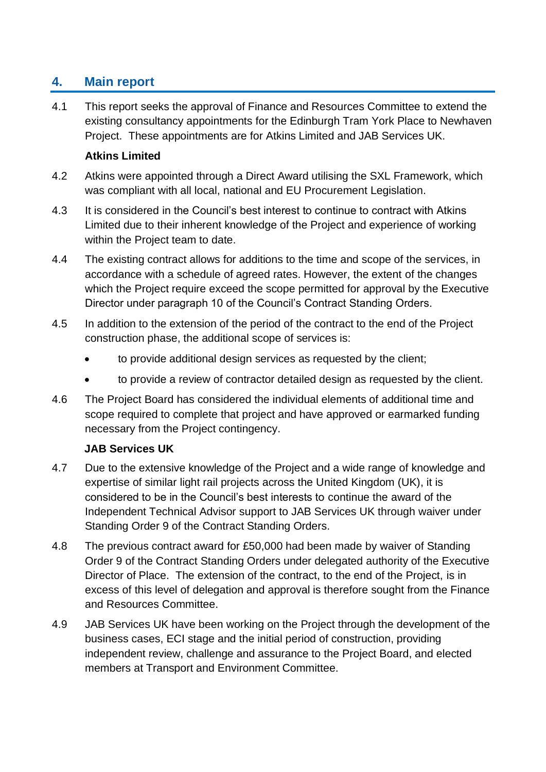## **4. Main report**

4.1 This report seeks the approval of Finance and Resources Committee to extend the existing consultancy appointments for the Edinburgh Tram York Place to Newhaven Project. These appointments are for Atkins Limited and JAB Services UK.

#### **Atkins Limited**

- 4.2 Atkins were appointed through a Direct Award utilising the SXL Framework, which was compliant with all local, national and EU Procurement Legislation.
- 4.3 It is considered in the Council's best interest to continue to contract with Atkins Limited due to their inherent knowledge of the Project and experience of working within the Project team to date.
- 4.4 The existing contract allows for additions to the time and scope of the services, in accordance with a schedule of agreed rates. However, the extent of the changes which the Project require exceed the scope permitted for approval by the Executive Director under paragraph 10 of the Council's Contract Standing Orders.
- 4.5 In addition to the extension of the period of the contract to the end of the Project construction phase, the additional scope of services is:
	- to provide additional design services as requested by the client;
	- to provide a review of contractor detailed design as requested by the client.
- 4.6 The Project Board has considered the individual elements of additional time and scope required to complete that project and have approved or earmarked funding necessary from the Project contingency.

#### **JAB Services UK**

- 4.7 Due to the extensive knowledge of the Project and a wide range of knowledge and expertise of similar light rail projects across the United Kingdom (UK), it is considered to be in the Council's best interests to continue the award of the Independent Technical Advisor support to JAB Services UK through waiver under Standing Order 9 of the Contract Standing Orders.
- 4.8 The previous contract award for £50,000 had been made by waiver of Standing Order 9 of the Contract Standing Orders under delegated authority of the Executive Director of Place. The extension of the contract, to the end of the Project, is in excess of this level of delegation and approval is therefore sought from the Finance and Resources Committee.
- 4.9 JAB Services UK have been working on the Project through the development of the business cases, ECI stage and the initial period of construction, providing independent review, challenge and assurance to the Project Board, and elected members at Transport and Environment Committee.